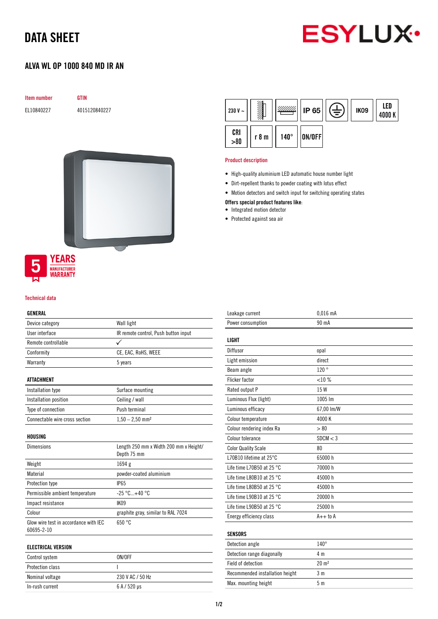## DATA SHEET



### ALVA WL OP 1000 840 MD IR AN

GTIN

| <b>Item number</b> |
|--------------------|
|--------------------|

EL10840227 4015120840227



# **MANUFACTURER**<br>**WARRANTY**

### Technical data

### GENERAL

| Device category                                     | Wall light                                            |
|-----------------------------------------------------|-------------------------------------------------------|
| User interface                                      | IR remote control, Push button input                  |
| Remote controllable                                 | ✓                                                     |
| Conformity                                          | CE, EAC, RoHS, WEEE                                   |
| Warranty                                            | 5 years                                               |
|                                                     |                                                       |
| <b>ATTACHMENT</b>                                   |                                                       |
| Installation type                                   | Surface mounting                                      |
| Installation position                               | Ceiling / wall                                        |
| Type of connection                                  | Push terminal                                         |
| Connectable wire cross section                      | $1,50 - 2,50$ mm <sup>2</sup>                         |
| HOUSING                                             |                                                       |
| <b>Dimensions</b>                                   | Length 250 mm x Width 200 mm x Height/<br>Depth 75 mm |
| Weight                                              | 1694 g                                                |
| Material                                            | powder-coated aluminium                               |
| Protection type                                     | <b>IP65</b>                                           |
| Permissible ambient temperature                     | $-25 °C+40 °C$                                        |
| Impact resistance                                   | <b>IK09</b>                                           |
| Colour                                              | graphite gray, similar to RAL 7024                    |
| Glow wire test in accordance with IEC<br>60695-2-10 | 650 °C                                                |
| EI EPTDIPAI VEDCINN                                 |                                                       |

| ELECTRICAL VERSION      |                              |
|-------------------------|------------------------------|
| Control system          | ON/OFF                       |
| <b>Protection class</b> |                              |
| Nominal voltage         | 230 V AC / 50 Hz             |
| In-rush current         | $6A/520 \text{ }\mu\text{s}$ |



### Product description

- High-quality aluminium LED automatic house number light
- Dirt-repellent thanks to powder coating with lotus effect
- Motion detectors and switch input for switching operating states
- Offers special product features like:
- Integrated motion detector
- Protected against sea air

| Leakage current                     | $0.016$ mA       |
|-------------------------------------|------------------|
| Power consumption                   | 90 mA            |
|                                     |                  |
| <b>LIGHT</b>                        |                  |
| Diffusor                            | opal             |
| Light emission                      | direct           |
| Beam angle                          | 120°             |
| <b>Flicker factor</b>               | <10%             |
| Rated output P                      | 15 W             |
| Luminous Flux (light)               | 1005 lm          |
| Luminous efficacy                   | 67,00 lm/W       |
| Colour temperature                  | 4000 K           |
| Colour rendering index Ra           | > 80             |
| Colour tolerance                    | SDCM < 3         |
| <b>Color Quality Scale</b>          | 80               |
| L70B10 lifetime at 25°C             | 65000h           |
| Life time L70B50 at 25 $^{\circ}$ C | 70000 h          |
| Life time L80B10 at 25 °C           | 45000 h          |
| Life time L80B50 at 25 $^{\circ}$ C | 45000 h          |
| Life time L90B10 at 25 °C           | 20000 h          |
| Life time L90B50 at 25 °C           | 25000 h          |
| Energy efficiency class             | $A++$ to $A$     |
|                                     |                  |
| <b>SENSORS</b>                      |                  |
| Detection angle                     | $140^\circ$      |
| Detection range diagonally          | 4 m              |
| Field of detection                  | $20 \text{ m}^2$ |

Recommended installation height 3 m Max. mounting height 5 m